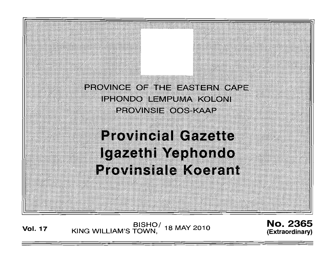

BISHO/ <sub>18 MAY 2010</sub><br>KING WILLIAM'S TOWN, <sup>18 MAY</sup> 2010

No. 2365 **(Extraordinary)**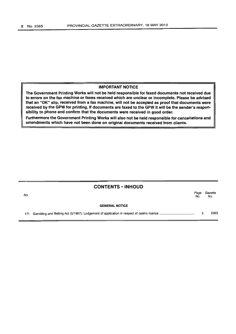### IMPORTANT NOTICE

The Government Printing Works will not be held responsible for faxed documents not received due to errors on the fax machine or faxes received which are unclear or incomplete. Please be advised that an "OK" slip, received from a fax machine, will not be accepted as proof that documents were received by the GPW for printing. If documents are faxed to the GPW it will be the sender's responsibility to phone and confirm that the documents were received in good order.

Furthermore the Government Printing Works will also not be held responsible for cancellations and amendments which have not been done on original documents received from clients.

| <b>CONTENTS • INHOUD</b> |                       |             |                |
|--------------------------|-----------------------|-------------|----------------|
| No.                      |                       | Page<br>No. | Gazette<br>No. |
|                          | <b>GENERAL NOTICE</b> |             |                |
|                          |                       | 3           | 2365           |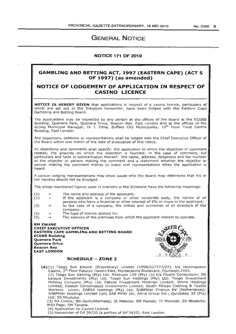# **GENERAL NOTICE**

### **NOTICE 171 OF 2010**

## **GAMBLING AND BETTING ACT, 1997 (EASTERN CAPE) (ACT 5 OF 1997) (as amended)**

## **NOTICE OF LODGEMENT OF APPLICATION IN 'RESPECT OF CASINO LICENCE**

**NOTICE IS HEREBY GIVEN** that applications in respect of a casino licence, particulars of which are set out in the Schedule hereunder, have been lodged with the Eastern Cape Gambling and Betting Board.

The applications may be inspected by any person at the offices of the Board at the ECGBB Building, Quenera Park, Quenera Drive, Beacon Bay, East London and at the offices of the Acting Municipal Manager, Dr L Zitha, Buffalo City Municipality, 10<sup>th</sup> Floor Trust Centre Building, East London.

Any objections, petitions or representations shall be lodged with the Chief Executive Officer of the Board within one month of the date of publication of this notice.

All objections and comments shall specify: the application to which the objection or comment relates; the grounds on which the objection is founded; in the case of comment, full particulars and facts in substantiation thereof: the name, address, telephone and fax number of the objector or person making the comment and a statement whether the objector or person making the comment wishes to make oral representations when the application is heard.

A person lodging representations may show cause why the Board may determine that his or her identity should not be divulged.

The under-mentioned figures used in brackets in the Schedule have the following meanings:

- (1) The name and address of the applicant;
- (2)  $\equiv$ If the applicant is a company or other corporate body, the names of all persons who have a financial or other interest of 5% or more in the applicant;
- (3)  $\equiv$ In the case of a company, the initials and surnames of all directors of the company;
- (4)  $\equiv$ The type of licence applied for;
- (5) The address of the premises from which the applicant intends to operate.

**RM ZWANE CHIEF EXECUTIVE OFFICER EASTERN CAPE GAMBLING AND BETTING BOARD ECGBB Building Quenera Park Quenera Drive Beacon Bay EAST LONDON** 



## **SCHEDULE - ZONE 2**

**(A)** (1) Tsogo Sun Emonti (Proprietary) Limited (1998/017777/07), t/a Hemingways Casino, 3<sup>rd</sup> Floor Palazzo Towers East, Montecasino Boulevard, Fourways, 2055. (2) Tsogo Sun Gaming (Pty) Ltd; Ritztrade 159 (Pty) Ltd t/a Efusini Consortium; SN Leisure Investments (Pty) Ltd; Tsogo Sun Holdings (Pty) Ltd; Tsogo Investment Holding Company (Pty) Ltd; Fabcos Investment Holdings Limited; Johnic Holdings Limited; Hosken Consolidated Investments Limited; South African Clothing & Textile Workers Union; SABSA Holdings (Pty) Ltd; SABMilier Finance BV (Netherlands); SABMiller Holdings Limited (UK) SAB Miller pic; Altria Group Inc.; Quickstep 33 (Pty) Ltd; SS Ntsaluba.

(3) RA Collins; BN GWiii(Alternate); JA Mabuza; SM Madala; TF Mosololi; SS Ntsaluba; MJD Page; SM Tanana.

(4) Application for Casino Licence.

(5) Remainder of Erf 39720 (a portion of Erf 5410), East London.